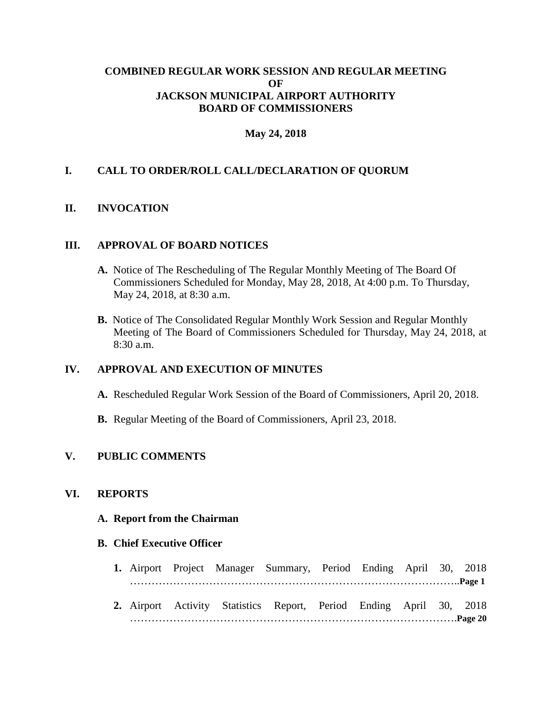## **COMBINED REGULAR WORK SESSION AND REGULAR MEETING OF JACKSON MUNICIPAL AIRPORT AUTHORITY BOARD OF COMMISSIONERS**

## **May 24, 2018**

## **I. CALL TO ORDER/ROLL CALL/DECLARATION OF QUORUM**

## **II. INVOCATION**

#### **III. APPROVAL OF BOARD NOTICES**

- **A.** Notice of The Rescheduling of The Regular Monthly Meeting of The Board Of Commissioners Scheduled for Monday, May 28, 2018, At 4:00 p.m. To Thursday, May 24, 2018, at 8:30 a.m.
- **B.** Notice of The Consolidated Regular Monthly Work Session and Regular Monthly Meeting of The Board of Commissioners Scheduled for Thursday, May 24, 2018, at 8:30 a.m.

### **IV. APPROVAL AND EXECUTION OF MINUTES**

- **A.** Rescheduled Regular Work Session of the Board of Commissioners, April 20, 2018.
- **B.** Regular Meeting of the Board of Commissioners, April 23, 2018.

## **V. PUBLIC COMMENTS**

#### **VI. REPORTS**

#### **A. Report from the Chairman**

#### **B. Chief Executive Officer**

- **1.** Airport Project Manager Summary, Period Ending April 30, 2018 ………………………………………………………………………………..**Page 1**
- **2.** Airport Activity Statistics Report, Period Ending April 30, 2018 ……………………………………………………………………………….**Page 20**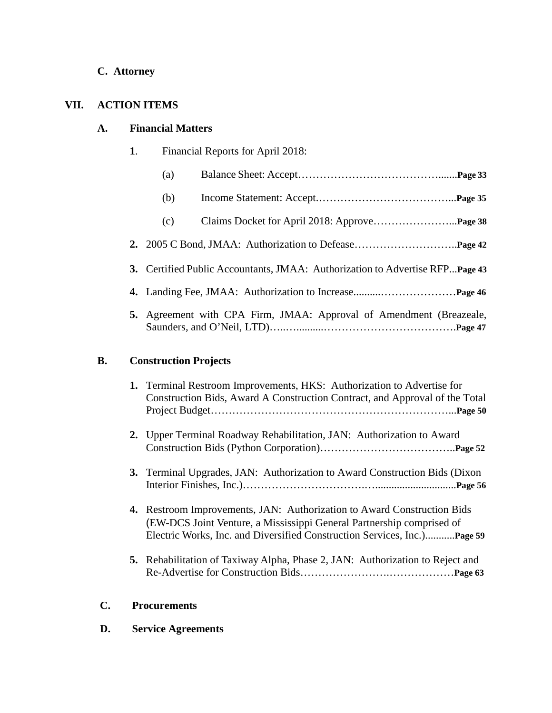## **C. Attorney**

## **VII. ACTION ITEMS**

## **A. Financial Matters**

- **1**. Financial Reports for April 2018:
	- (a) Balance Sheet: Accept………………………………….......**Page 33**
	- (b) Income Statement: Accept.………………………………...**Page 35**
	- (c) Claims Docket for April 2018: Approve…………………...**Page 38**
- **2.** 2005 C Bond, JMAA: Authorization to Defease………………………..**Page 42**
- **3.** Certified Public Accountants, JMAA: Authorization to Advertise RFP...**Page 43**
- **4.** Landing Fee, JMAA: Authorization to Increase..........…………………**Page 46**
- **5.** Agreement with CPA Firm, JMAA: Approval of Amendment (Breazeale, Saunders, and O'Neil, LTD)…..…..........……………………………….**Page 47**

## **B. Construction Projects**

| 1. Terminal Restroom Improvements, HKS: Authorization to Advertise for<br>Construction Bids, Award A Construction Contract, and Approval of the Total                                                                             |
|-----------------------------------------------------------------------------------------------------------------------------------------------------------------------------------------------------------------------------------|
| 2. Upper Terminal Roadway Rehabilitation, JAN: Authorization to Award                                                                                                                                                             |
| 3. Terminal Upgrades, JAN: Authorization to Award Construction Bids (Dixon                                                                                                                                                        |
| <b>4.</b> Restroom Improvements, JAN: Authorization to Award Construction Bids<br>(EW-DCS Joint Venture, a Mississippi General Partnership comprised of<br>Electric Works, Inc. and Diversified Construction Services, IncPage 59 |
| <b>5.</b> Rehabilitation of Taxiway Alpha, Phase 2, JAN: Authorization to Reject and                                                                                                                                              |

## **C. Procurements**

 **D. Service Agreements**